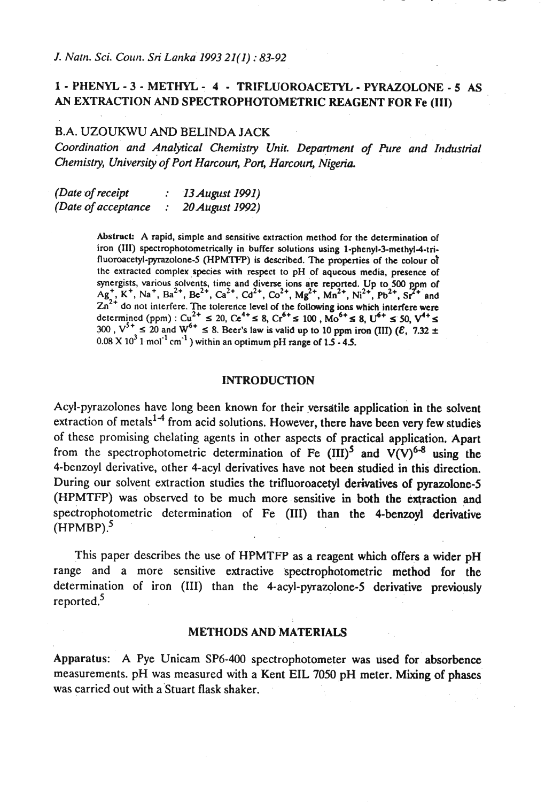# **1** - **PHENYL** - **3** - **METHYL** - **4** - **TRIFLUOROACETYL** - **PYRAZOLONE** - **5 AS AN EXTRACTION AND SPECTROPHOTOMETRIC REAGENT FOR Fe (111)**

# B.A. UZOUKWU AND BELINDA JACK

Coordination and Analytical Chemistry Unit. Department of Pure and Industrial *Chenlistry, university' of port Harcourt, Port, Harcourt, Nigeria.* 

*(Date of receipt* : *13 August 1991) (Date of acceptance* : *20 August 1992)* 

> Abstract: A rapid, simple and sensitive extraction method for the determination of iron **(111)** spectrophotometrically in buffer solutions using 1-phenyl-3-methyl-4-ti**fluoroacetyl-pyrazolone-5** (HPMTFP) is described. The properties of the eolour 01 the extracted complex species with respect to pH of aqueous media, presence of synergists, various solvents, time and diverse ions are reported. Up to 500 ppm of  $Ag_{7}^{1}$ , K<sup>+</sup>, Na<sup>2</sup>, Ba<sup>2+</sup>, Ca<sup>2+</sup>, Ca<sup>2+</sup>, Ca<sup>2+</sup>, M<sub>8</sub><sup>2+</sup>, M<sub>1</sub><sup>2+</sup>, N<sub>1</sub><sup>2+</sup>, Pb<sup>2+</sup>, Sr<sup>2+</sup> and  $Zn^{2+}$  do not interfere. The tolerence level of the following ions which interfere were determined (ppm) :  $Cu^{2+} \le 20$ ,  $Ce^{4+} \le 8$ ,  $Cr^{6+} \le 100$ ,  $Mo^{6+} \le 8$ ,  $U^{6+} \le 50$ ,  $V^{4+} \le$ **300**,  $V^{5+} \le 20$  and  $W^{6+} \le 8$ . Beer's law is valid up to 10 ppm iron (III)  $(\mathcal{E}, 7.32 \pm \mathcal{E})$  $0.08 \times 10^3$  1 mol<sup>-1</sup> cm<sup>-1</sup>) within an optimum pH range of  $1.5 - 4.5$ .

# **INTRODUCTION**

Acyl-pyrazolones have long been known for their versatile application in the solvent extraction of metals $1.4$  from acid solutions. However, there have been very few studies of these promising chelating agents in other aspects of practical application. Apart from the spectrophotometric determination of Fe  $(III)^5$  and  $V(V)^{6-8}$  using the 4-benzoyl derivative, other 4-acyl derivatives have not been studied in this direction. During our solvent extraction studies the trifluoroacetyl derivatives of pyrazolone-5 (HPMTFP) was observed to be much more sensitive in both the extraction and spectrophotometric determination of Fe (III) than the 4-benzoyl derivative  $(HPMBP).$ <sup>5</sup>

This paper describes the use of HPMTFP as a reagent which offers a wider pH range and a more sensitive extractive spectrophotometric method for the determination of iron (111) than the 4-acyl-pyrazolone-5 derivative previously reported.<sup>5</sup>

# **METHODS AND** 'MATERIALS

Apparatus: A Pye Unicam SP6-400 spectrophotometer was used for absorbence measurements. pH was measured with a Kent EIL 7050 pH meter. Mixing of phases was carried out with a'Stuart flask shaker.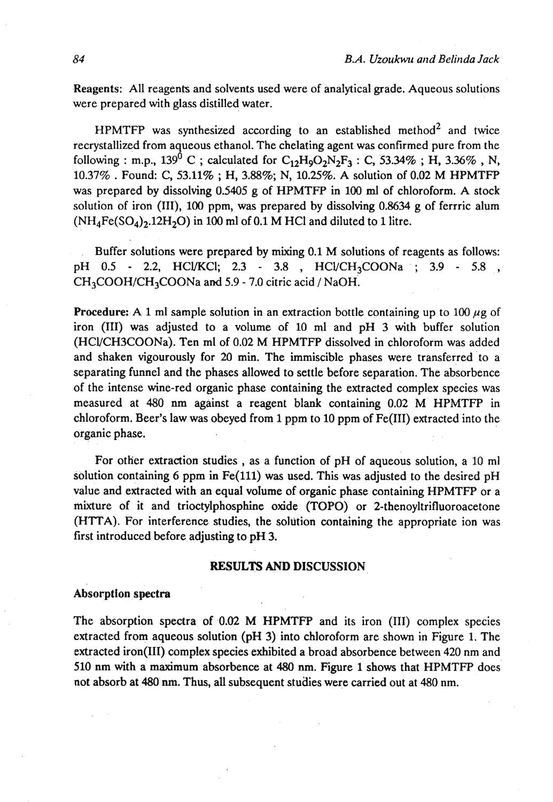Reagents: All reagents and solvents used were of analytical grade. Aqueous solutions were prepared with glass distilled water.

HPMTFP was synthesized according to an established method<sup>2</sup> and twice recrystallized from aqueous ethanol. The chelating agent was confirmed pure from the following : m.p.,  $139^{0}$  C; calculated for  $C_{12}H_{9}O_{2}N_{2}F_{3}$ : C,  $53.34\%$ ; H,  $3.36\%$ , N, **10.37%** . Found: C, **53.11%** ; H, **3.88%;** N, **10.25%. A** solution of **0.02** M HPMTFP was prepared by dissolving **0.5405 g** of HPMTFP in **100 ml** of chloroform. A stock solution of iron (111), **100** ppm, was prepared by dissolving **0.8634** g of ferrric alum  $(NH_4Fe(SO_4)_2.12H_2O)$  in 100 ml of 0.1 M HCl and diluted to 1 litre.

Buffer solutions were prepared by mixing **0.1** M solutions of reagents as follows: pH **0.5** - 2.2, HCVKCl; **2.3** - **3.8** , HCVCH3COONa .; **3.9** - **5.8** , CH3COOH/CH3COONa and **5.9** - **7.0** citric acid / NaOH.

**Procedure:** A 1 ml sample solution in an extraction bottle containing up to 100  $\mu$ g of iron (111) was adjusted to a volume of **10** ml and pH **3** with buffer solution (HCVCH3COONa). Ten ml of **0.02** M HPMTFP dissolved in chloroform was added and shaken vigourously for 20 min. The immiscible phases were transferred to a separating funnel and the phases allowed to settle before separation. The absorbence of the intense wine-red organic phase containing the extracted complex species was measured at **480 nm** against a reagent blank containing **0.02** M HPMTFP in chloroform. Beer's law was obeyed from **1** ppm to **10** ppm of Fe(II1) extracted into the organic phase.

For other extraction studies , as a function of pH of aqueous solution, a 10 ml solution containing 6 ppm in Fe(ll1) **was** used. This was adjusted to the desired pH value and extracted with an equal volume of organic phase containing HPMTFP or a mixture of it and trioctylphosphine oxide (TOPO) or 2-thenoyltrifluoroacetone **(HTTA).** For interference studies, the solution containing the appropriate ion was first introduced before adjusting to pH 3.

### **RESULTS AND DISCUSSION**

#### Absorption spectra

The absorption spectra of 0.02 M **HPMTFP** and its iron (111) complex species extracted from aqueous solution (pH **3)** into chloroform are shown in Figure 1. The extracted iron(II1) complex species exhibited a broad absorbence between **420** nm and **510** nm with a maximum absorbence at **480** nm. Figure 1 shows that HPMTFP does not absorb at **480 nm.** Thus, all subsequent studies were carried out at **480** nm.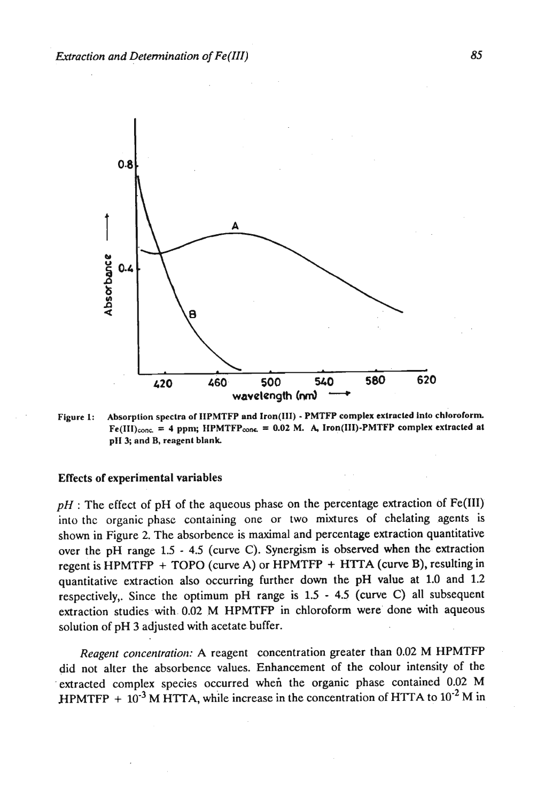

**Figure 1: Absorption spectra of IIPMTFP and Iron(11l)** - **PMTFP complex extrnckd Into chloroform**   $Fe(III)_{cone}$  = 4 ppm;  $HPMTFP_{cone}$  = 0.02 M. A, Iron(III)-PMTFP complex extracted at **pIl3; and B, reagenl blank** 

# **Effects of** experimental **variables**

 $pH$ : The effect of pH of the aqueous phase on the percentage extraction of Fe(III) into thc organic phase containing one or two mixtures of chelating agents is shown in Figure 2. The absorbence is maximal and percentage extraction quantitative over the pH range **1.5** - **4.5** (curve **C).** Synergism is observed when the extraction regent is HPMTFP + TOPO (curve A) or HPMTFP + HTTA (curve B), resulting in quantitative extraction also occurring further down the pH value at 1.0 and 1.2 respectively,. Since the optimum pH range is **1.5** - **4.5** (curve **C)** all subsequent extraction studies with 0.02 M HPMTFP in chloroform were done with aqueous solution of pH 3 adjusted with acetate buffer.

*Reagent concentration:* A reagent concentration greater than 0.02 M HPMTFP did not alter the absorbence values. Enhancement of the colour intensity of the extracted complex species occurred when the organic phase contained 0.02 M HPMTFP  $+ 10^{-3}$  M HTTA, while increase in the concentration of HTTA to  $10^{-2}$  M in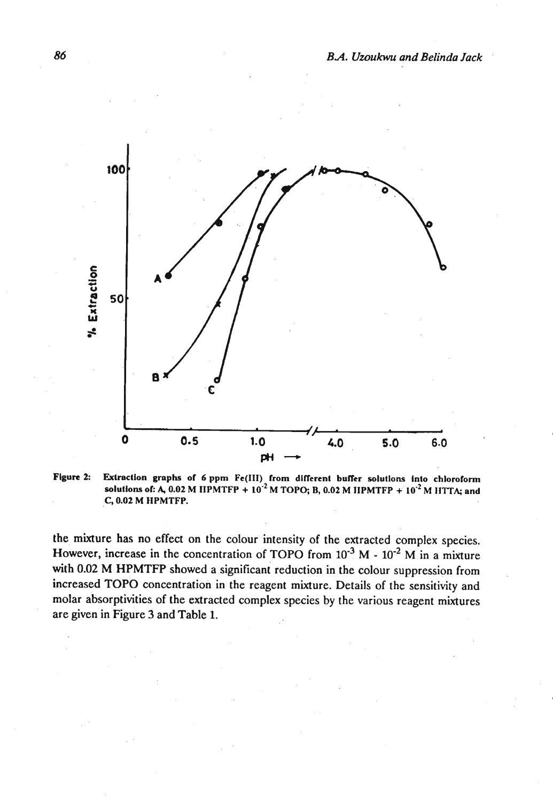

Figure 2: Extraction graphs of 6 ppm Fe(III) from different buffer solutions into chloroform **solutions of:** A, 0.02 M HPMTFP  $+ 10^{-2}$  M TOPO; B, 0.02 M HPMTFP  $+ 10^{-2}$  M HTTA; and **C, 0.02 M HPMTFP.** 

the mixture has no effect on the colour intensity of the extracted complex species. However, increase in the concentration of TOPO from  $10^{-3}$  M  $- 10^{-2}$  M in a mixture with 0.02 M HPMTFP showed a significant reduction in the colour suppression from increased TOPO concentration in the reagent mixture. Details of the sensitivity and molar absorptivities of the extracted complex species by the various reagent mixtures are given in Figure 3 and Table 1.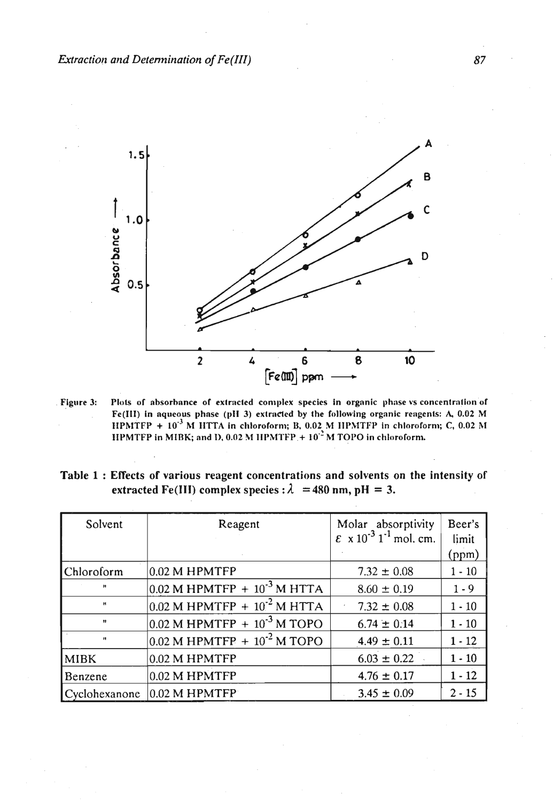

Figure 3: Plots of absorbance of extracted complex species in organic phase vs concentration of Fe(III) in aqueous phase (pH 3) extracted by the following organic reagents: A, 0.02 M **IIPMTFP** +  $10^{-3}$  **M** IITTA in chloroform; B, 0.02 M IIPMTFP in chloroform; C, 0.02 M **IIPMTFP in MIBK; and D, 0.02 M IIPMTFP.**  $+10^{-2}$  **M TOPO in chloroform.** 

| Table 1 : Effects of various reagent concentrations and solvents on the intensity of |  |
|--------------------------------------------------------------------------------------|--|
| extracted Fe(III) complex species : $\lambda = 480$ nm, pH = 3.                      |  |

| Solvent         | Reagent                                                         | Molar absorptivity<br>$\epsilon$ x 10 <sup>-3</sup> 1 <sup>-1</sup> mol. cm. | Beer's<br>limit<br>(ppm) |
|-----------------|-----------------------------------------------------------------|------------------------------------------------------------------------------|--------------------------|
| Chloroform      | $0.02$ M HPMTFP                                                 | $7.32 \pm 0.08$                                                              | $1 - 10$                 |
| Ħ               | $\sqrt{0.02 \text{ M H} P M T F P + 10^{-3} \text{ M H} T T A}$ | $8.60 \pm 0.19$                                                              | $1 - 9$                  |
| $\mathbf{H}$    | $0.02$ M HPMTFP + $10^{-2}$ M HTTA                              | $7.32 \pm 0.08$                                                              | $1 - 10$                 |
| $^{\mathbf{H}}$ | $ 0.02 \text{ M}$ HPMTFP + $10^{-3}$ M TOPO                     | $6.74 \pm 0.14$                                                              | $1 - 10$                 |
| $^{\prime}$     | $ 0.02 \text{ M}$ HPMTFP + $10^{-2}$ M TOPO                     | $4.49 \pm 0.11$                                                              | $1 - 12$                 |
| <b>MIBK</b>     | $0.02$ M HPMTFP                                                 | $6.03 \pm 0.22$                                                              | $1 - 10$                 |
| Benzene         | $0.02$ M HPMTFP                                                 | $4.76 \pm 0.17$                                                              | $1 - 12$                 |
|                 | Cyclohexanone 0.02 M HPMTFP                                     | $3.45 \pm 0.09$                                                              | $2 - 15$                 |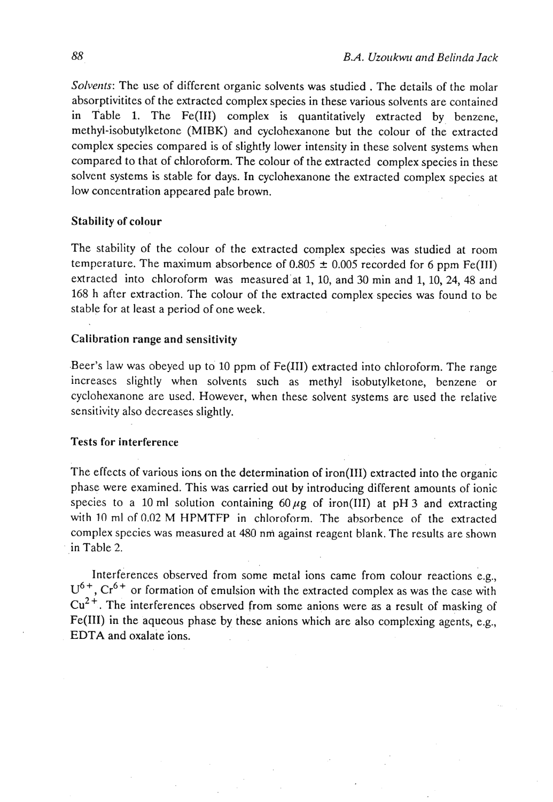Solvents: The use of different organic solvents was studied . The details of the molar absorptivitites of the extracted complex species in these various solvents are contained in Table 1. The Fe(1II) complex is quantitatively extracted by benzene, methyl-isobutylketone (MIBK) and cyclohexanone but the colour of the extracted complex species compared is of slightly lower intensity in these solvent systems when compared to that of chloroform. The colour of the extracted complex species in these solvent systems is stable for days. In cyclohexanone the extracted complex species at low concentration appeared pale brown.

### Stability of colour

The stability of the colour of the extracted complex species was studied at room temperature. The maximum absorbence of  $0.805 \pm 0.005$  recorded for 6 ppm Fe(III) extracted into chloroform was measuredat 1, 10, and 30 min and 1,10,24, 48 and 168 h after extraction. The colour of the extracted complex-species was found to be stable for at least a period of one week.

#### Calibration range and sensitivity

.Beer's law was obeyed up to 10 ppm of Fe(lI1) extracted into chloroform. The range increases slightly when solvents such as methyl isobutylketone, benzene or cyclohexanone are used. However, when these solvent systems are used the relative sensitivity also decreases slightly.

# Tests for interference

The effects of various ions on the determination of iron(II1) extracted into the organic phase were examined. This was carried out by introducing different amounts of ionic species to a 10 ml solution containing  $60 \mu$ g of iron(III) at pH 3 and extracting with 10 ml of 0.02 M HPMTFP in chloroform. The absorbence of the extracted complex species was measured at 480 nni against reagent blank. The results are shown in Table 2.

Interferences observed from some metal ions came from colour reactions e.g.,  $U^{6+}$ ,  $Cr^{6+}$  or formation of emulsion with the extracted complex as was the case with  $Cu<sup>2+</sup>$ . The interferences observed from some anions were as a result of masking of Fe(II1) in the aqueous phase by these anions which are also complexing agents, e.g., EDTA and oxalate ions.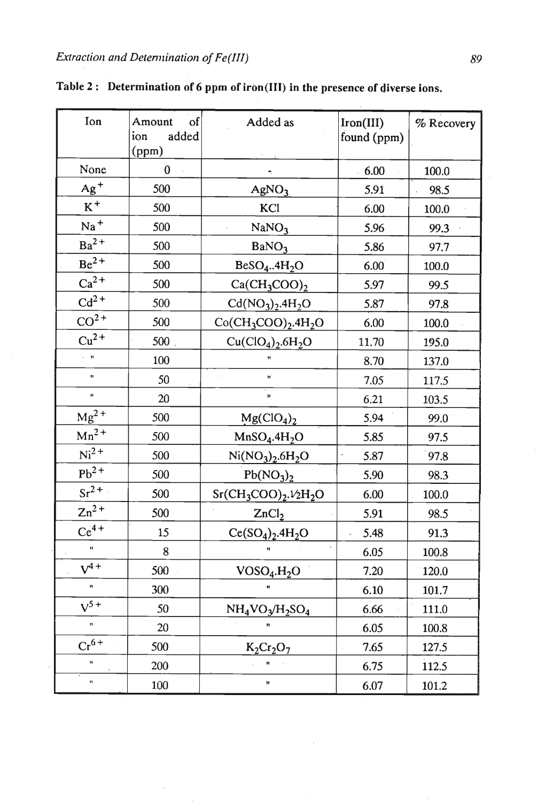$\ddot{\phantom{a}}$ 

 $\cdot$ 

| Ion                  | $\vert$ of<br>Amount<br>ion<br>added<br>(ppm) | Added as                             | Iron(III)<br>found (ppm) | % Recovery |
|----------------------|-----------------------------------------------|--------------------------------------|--------------------------|------------|
| None                 | $0 -$                                         |                                      | $-6.00$                  | 100.0      |
| $Ag+$                | 500                                           | AgNO <sub>3</sub>                    | 5.91                     | 98.5       |
| $\rm K^+$            | 500                                           | KCl                                  | 6.00                     | 100.0      |
| $Na+$                | 500                                           | NaNO <sub>3</sub>                    | 5.96                     | 99.3       |
| $Ba^{2+}$            | 500                                           | BaNO <sub>3</sub>                    | 5.86                     | 97.7       |
| $Be^{2+}$            | 500                                           | BeSO <sub>4</sub> 4H <sub>2</sub> O  | 6.00                     | 100.0      |
| $Ca2+$               | 500                                           | $Ca(CH_3COO)_2$                      | 5.97                     | 99.5       |
| $Cd2+$               | 500                                           | $Cd(NO3)2.4H2O$                      | 5.87                     | 97.8       |
| $CO2+$               | 500                                           | $Co(CH_3COO)_2.4H_2O$                | 6.00                     | 100.0      |
| $Cu2+$               | 500.                                          | $Cu(CIO4)2.6H2O$                     | 11.70                    | 195.0      |
| $\sim$ $\,$ H        | 100                                           |                                      | 8.70                     | 137.0      |
| $\bar{\mathbf{H}}$   | 50                                            | $\bar{z}$<br>Ĥ,                      | 7.05                     | 117.5      |
| $\bar{\mathbf{H}}$   | 20                                            | Ĥ                                    | 6.21                     | 103.5      |
| $Mg^{2+}$            | 500                                           | Mg(CIO <sub>4</sub> ) <sub>2</sub>   | 5.94                     | 99.0       |
| $Mn^2$ +             | 500                                           | MnSO <sub>4</sub> .4H <sub>2</sub> O | 5.85                     | 97.5       |
| $Ni2+$               | 500                                           | $Ni(NO3)2.6H2O$                      | 5.87                     | 97.8       |
| $Pb^{2+}$            | 500                                           | Pb(NO <sub>3</sub> ) <sub>2</sub>    | 5.90                     | 98.3       |
| $Sr^{2+}$            | 500                                           | $Sr(CH_3COO)_2.1/2H_2O$              | 6.00                     | 100.0      |
| $Zn^{2+}$            | 500                                           | ZnCl <sub>2</sub>                    | 5.91                     | 98.5       |
| $Ce^{4+}$            | 15                                            | $Ce(SO4)2.4H2O$                      | 5.48                     | 91.3       |
| Ĥ                    | 8                                             | $\mathbf{H}$                         | 6.05                     | 100.8      |
| $V^{4+}$             | 500                                           | VOSO <sub>4</sub> .H <sub>2</sub> O  | 7.20                     | 120.0      |
| $\ddot{\phantom{0}}$ | 300                                           |                                      | 6.10                     | 101.7      |
| $V^{5+}$             | 50                                            | $NH_4VO_3/H_2SO_4$                   | 6.66                     | 111.0      |
| $\ddot{\phantom{1}}$ | 20                                            |                                      | 6.05                     | 100.8      |
| $Cr^{6+}$            | 500                                           | $K_2Cr_2O_7$                         | 7.65                     | 127.5      |
| Ħ                    | 200                                           | Ħ                                    | 6.75                     | 112.5      |
| $\bar{\mathbf{H}}$   | 100                                           | Ħ                                    | 6.07                     | 101.2      |

 $\bar{\bar{z}}$ 

**Table** *2* : **Determination of 6 ppm of iron(II1) in the presence of diverse ions.**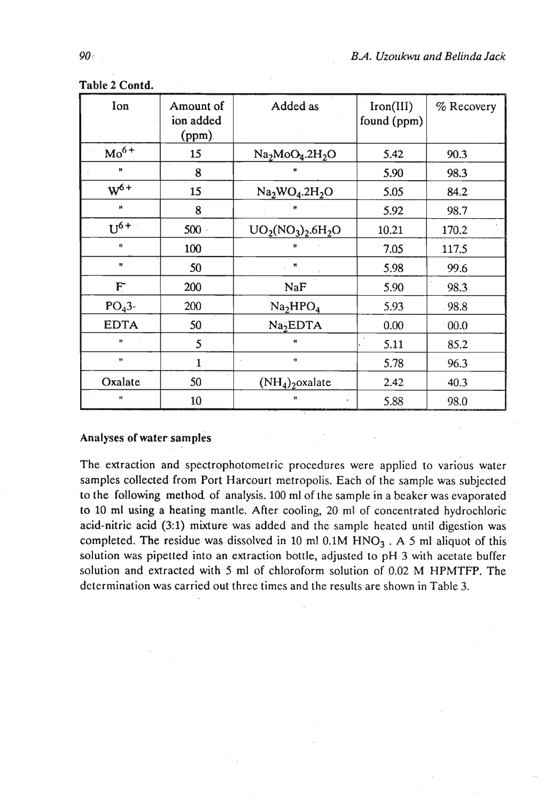| Ion                  | Amount of<br>ion added<br>$(ppm)$ . | Added as                         | Iron(III)<br>found (ppm) | % Recovery |
|----------------------|-------------------------------------|----------------------------------|--------------------------|------------|
| $Mo6+$               | 15                                  | $Na2MoO4.2H2O$                   | 5.42                     | 90.3       |
| $\pmb{\mathfrak{m}}$ | 8                                   | Ħ                                | 5.90                     | 98.3       |
| $W^{6+}$             | 15                                  | $Na2WO4.2H2O$                    | 5.05                     | 84.2       |
| Ħ                    | 8                                   |                                  | 5.92                     | 98.7       |
| $U^{6+}$             | 500                                 | $UO_2(NO_3)_2.6H_2O$             | 10.21                    | 170.2      |
| Ħ                    | 100                                 | Ħ                                | 7.05                     | 117.5      |
| Ħ                    | 50                                  | $^{\circ}$                       | 5.98                     | 99.6       |
| $F^{\cdot}$          | 200                                 | NaF                              | 5.90                     | 98.3       |
| $PO43$ -             | 200                                 | Na <sub>2</sub> HPO <sub>4</sub> | 5.93                     | .98.8      |
| <b>EDTA</b>          | 50                                  | Na <sub>2</sub> EDTA             | 0.00                     | 00.0       |
| Ħ                    | 5                                   | Ħ                                | 5.11                     | 85.2       |
| 11                   | 1                                   | Ħ                                | 5.78                     | 96.3       |
| Oxalate              | 50                                  | $(NH_4)$ <sub>2</sub> oxalate    | 2.42                     | 40.3       |
| 11                   | 10                                  | Ħ                                | 5.88                     | 98.0       |

**Table 2 Contd.** 

# Analyses of **water** samples

The extraction and spectrophotometric procedures were applied to various water samples collected from Port Harcourt metropolis. Each of the sample was subjected to the following method of analysis. 100 ml of the sample in a beaker was evaporated to 10 ml usirig a heating mantle. After cooling, 20 ml of concentrated hydrochloric acid-nitric acid (3:l) mixture was added and the sample heated until digestion was completed. The residue was dissolved in 10 ml  $0.1M HNO<sub>3</sub>$ . A 5 ml aliquot of this solution was pipetted into an extraction bottle, adjusted to pH 3 with acetate buffer solution and extracted with **5** ml of chloroform solution of 0.02 M HPMTFP. The determination was carried out three times and the results are shown in Table 3.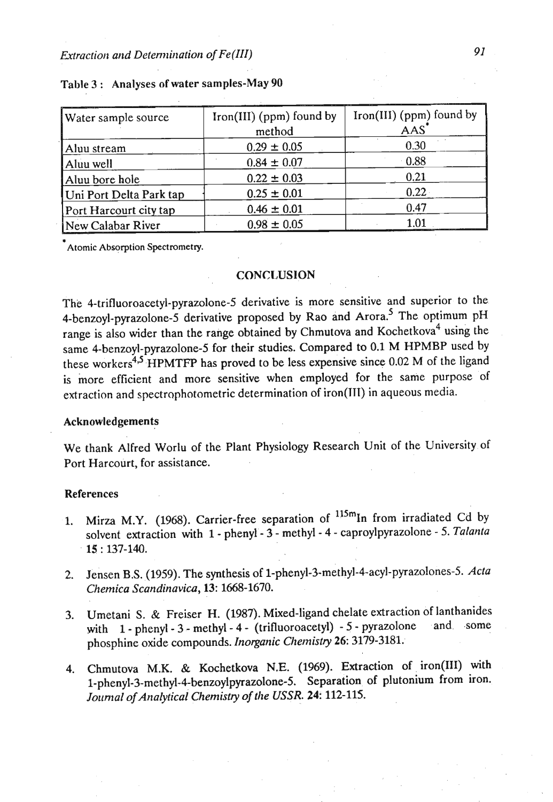| Water sample source     | Iron(III) ( $ppm$ ) found by<br>method | Iron(III) (ppm) found by<br><b>AAS</b> |
|-------------------------|----------------------------------------|----------------------------------------|
| Aluu stream             | $0.29 \pm 0.05$                        | 0.30                                   |
| Aluu well               | $0.84 \pm 0.07$                        | 0.88                                   |
| Aluu bore hole          | $0.22 \pm 0.03$                        | 0.21                                   |
| Uni Port Delta Park tap | $0.25 \pm 0.01$                        | $0.22 \cdot$                           |
| Port Harcourt city tap  | $0.46 \pm 0.01$                        | 0.47                                   |
| New Calabar River       | $0.98 \pm 0.05$                        |                                        |

# Table 3 : Analyses of water samples-May 90

**Atomic Absorption Spectrometry.** 

### **CONCLUSION**

The 4-trifluoroacetyl-pyrazolone-5 derivative is more sensitive and superior to the 4-benzoyl-pyrazolone-5 derivative proposed by Rao and Arora.<sup>5</sup> The optimum pH range is also wider than the range obtained by Chmutova and Kochetkova<sup>4</sup> using the same 4-benzoyl-pyrazolone-5 for their studies. Compared to 0.1 M HPMBP used by these workers<sup>4,5</sup> HPMTFP has proved to be less expensive since  $0.02$  M of the ligand is more efficient and more sensitive when employed for the same purpose of extraction and spectrophotometric determination of iron(1TT) in aqueous media.

### Acknowledgements

We thank Alfred Worlu of the Plant Physiology Research Unit of the University.of Port Harcourt, for assistance.

### References

- 1. Mirza M.Y. (1968). Carrier-free separation of  $115$ <sup>m</sup>In from irradiated Cd by solvent extraction with 1 - phenyl - 3 - methyl - 4 - caproylpyrazolone - 5. *Talanla*  15 : 137-140.
- **2.** Jensen B.S. (1959). The synthesis of **1-phenyl-3-methyl-4-acyl-pyrazolones-5.** *Acta Chemica Scandinavica,* 13: 1668- 1670.
- **3.** Urnetani S. & Freiser H. (1987). Mixed-ligand chelate extraction of lanthanides with 1 - phenyl - 3 - methyl - 4 - (trifluoroacetyl) - 5 - pyrazolone and some phosphine oxide compounds. *Inorganic Clternistry* 26: 3179-3181.
- 4. Chmutova M.K. & Kochetkova N.E. (1969). Extraction of iron(III) with **1-phenyl-3-methyl-4-benzoylpyrazolone-5.** Separation of plutonium from iron. Journal of Analytical Chemistry of the USSR. 24: 112-115.